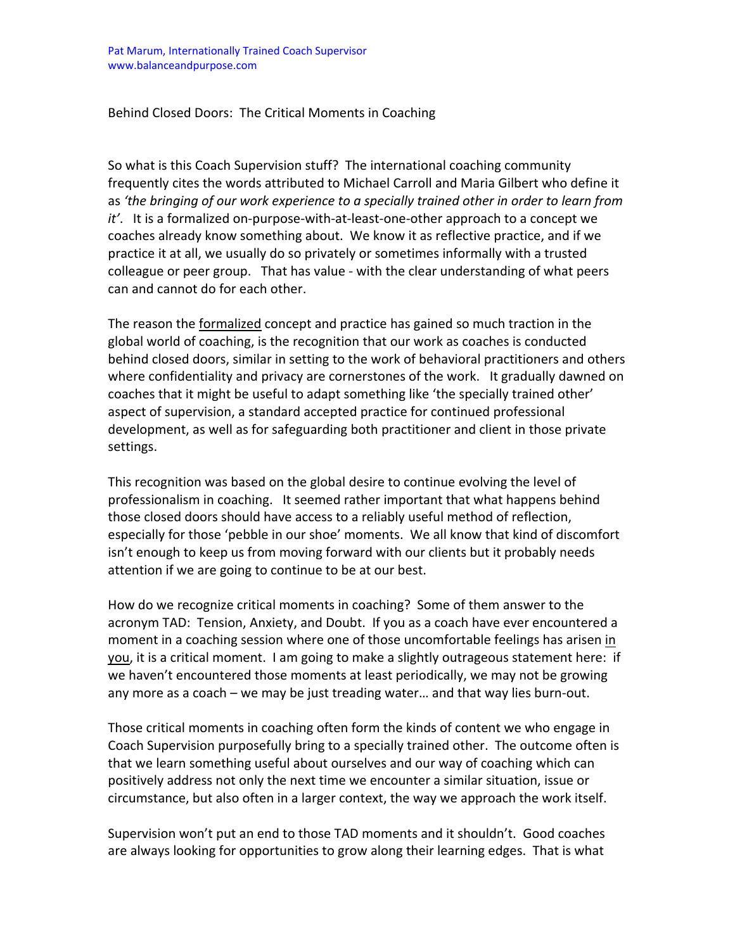## Behind Closed Doors: The Critical Moments in Coaching

So what is this Coach Supervision stuff? The international coaching community frequently cites the words attributed to Michael Carroll and Maria Gilbert who define it as *'the bringing of our work experience to a specially trained other in order to learn from it'*. It is a formalized on‐purpose‐with‐at‐least‐one‐other approach to a concept we coaches already know something about. We know it as reflective practice, and if we practice it at all, we usually do so privately or sometimes informally with a trusted colleague or peer group. That has value ‐ with the clear understanding of what peers can and cannot do for each other.

The reason the formalized concept and practice has gained so much traction in the global world of coaching, is the recognition that our work as coaches is conducted behind closed doors, similar in setting to the work of behavioral practitioners and others where confidentiality and privacy are cornerstones of the work. It gradually dawned on coaches that it might be useful to adapt something like 'the specially trained other' aspect of supervision, a standard accepted practice for continued professional development, as well as for safeguarding both practitioner and client in those private settings.

This recognition was based on the global desire to continue evolving the level of professionalism in coaching. It seemed rather important that what happens behind those closed doors should have access to a reliably useful method of reflection, especially for those 'pebble in our shoe' moments. We all know that kind of discomfort isn't enough to keep us from moving forward with our clients but it probably needs attention if we are going to continue to be at our best.

How do we recognize critical moments in coaching? Some of them answer to the acronym TAD: Tension, Anxiety, and Doubt. If you as a coach have ever encountered a moment in a coaching session where one of those uncomfortable feelings has arisen in you, it is a critical moment. I am going to make a slightly outrageous statement here: if we haven't encountered those moments at least periodically, we may not be growing any more as a coach – we may be just treading water... and that way lies burn-out.

Those critical moments in coaching often form the kinds of content we who engage in Coach Supervision purposefully bring to a specially trained other. The outcome often is that we learn something useful about ourselves and our way of coaching which can positively address not only the next time we encounter a similar situation, issue or circumstance, but also often in a larger context, the way we approach the work itself.

Supervision won't put an end to those TAD moments and it shouldn't. Good coaches are always looking for opportunities to grow along their learning edges. That is what